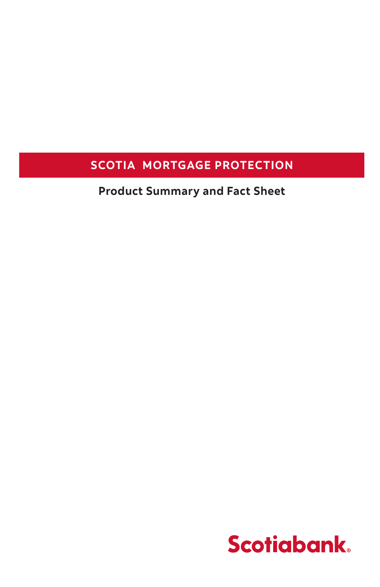#### **SCOTIA MORTGAGE PROTECTION**

**Product Summary and Fact Sheet**

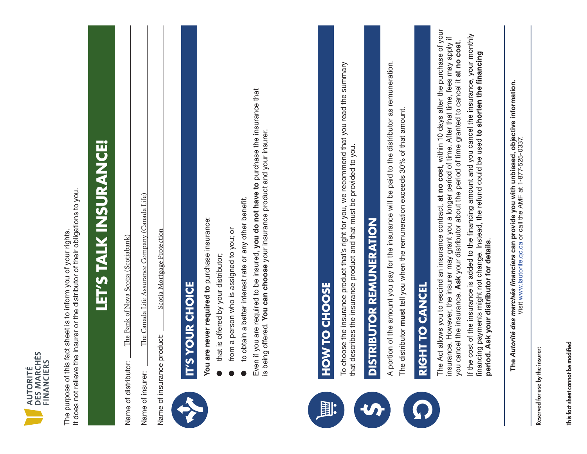| v<br>ERS<br>┍<br>īΞ<br>щ<br>DES<br>5 |  |
|--------------------------------------|--|
|                                      |  |
|                                      |  |

It does not relieve the insurer or the distributor of their obligations to you. It does not relieve the insurer or the distributor of their obligations to you. The purpose of this fact sheet is to inform you of your rights. The purpose of this fact sheet is to inform you of your rights.

 $\mathcal{L}_{\mathcal{A}}$ 

# LET'S TALK INSURANCE! **LET'S TALK INSURANCE!** It does not relieve the insurer or the distributor of their obligations to you.

**L**<br>Nova Scotia (Scotiabank) The Bank of Nova Scotia (Scotiabank) The Bank of Nova Scotia (Scotiabank) Name of distributor: Name of distributo

The Canada Life Assurance Company (Canada Life) e Canada Life Assurance Company (Canada Life) Name of insurer: Name of insurer:

Scotia Mortgage Protection Scotia Mortgage Protection  $\mathcal{L} = \mathcal{L}$ Name of insurance product: Name of insurance product:

 $\begin{array}{c} \bullet \\ \bullet \\ \bullet \end{array}$ 



# Scotia Mortgage Protection IT'S YOUR CHOICE **IT'S YOUR CHOICE** Name of insurance product:

- You are never required to purchase insurance: **You are never required to** purchase insurance: IT'S YOUR LAY'S YOUR CHOICE AND INTERNATIONAL CHOICE IS A VIOLENCE OF THE **CHOICE** 
	- that is offered by your distributor; that is offered by your distributor;
- **Trom a person who is assigned to vour or** from a person who is assigned to you; or from a person who is assigned to you; or
- to obtain a better interest rate or any other benefit. to obtain a better interest rate or

Even if you are required to be insured, you do not have to purchase the insurance that<br>is being offered. You can choose your insurance product and your insurer. Even if you are required to be insured, **you do not have to** purchase the insurance that is being offered. **You can choose** your insurance product and your insurer. if you are required to be insured, you do



# To choose the insurance product that's right for you, we recommend that you read the summary that describes the insurance product and the insurance product and the properties of the properties of the provided to you. The insurance provided to you. In the insurance provided to you. In the insurance provided to you. HOW TO CHOOSE **HOW TO CHOOSE**

To choose the insurance product that's right for you, we recommend that you read the summary To choose the insurance product that's right for you, we recommend that you read the summary that describes the insurance product and that must be provided to you. that describes the insurance product and that must be provided to you. **that describes the insurance product and that m** 



A portion of the amount you pay for the insurance will be paid to the distributor as remuneration. A portion of the amount you pay for the insurance will be paid to the distributor as remuneration. The distributor **must** tell you when the remuneration exceeds 30% of that amount. The distributor must tell you when the remuneration exceeds 30% of that amount. The distributor must tell you



The Act allows you to rescind an insurance contract, at no cost, within 10 days after the purchase of your The Act allows you to rescind an insurance contract, **at no cost**, within 10 days after the purchase of your insurance. However, the insurer may grant you a longer period of time. After that time, fees may apply if<br>you cancel the insurance. Ask your distributor about the period of time granted to cancel it at no cost. insurance. However, the insurer may grant you a longer period of time. After that time, fees may apply if you cancel the insurance. **Ask** your distributor about the period of time granted to cancel it **at no cost**. you cancel the insurance. **Ask** your distributor about the period of time granted to cancel it **at no cost**.

If the cost of the insurance is added to the financing amount and you cancel the insurance, your monthly financing payments might not change. Instead, the refund could be used to shorten the financing **The can provide you with unbiased, objective information.**  period. Ask your distributor for details. **period. Ask your distributor for details**. **period. Ask your distributor for details**.

The *Autorité des marchés financiers* can provide you with unbiased, objective information. The *Autorité des marchés financiers* can provide you with unbiased, objective information.<br>Visit <u>www.lautorite.qc.ca</u> or call the AMF at 1-877-525-0337. Visit www.lautorite.qc.ca or call the AMF at 1-877-525-0337. Reserved for use by the insurer:

Reserved for use by the insurer: Reserved for use by the insurer: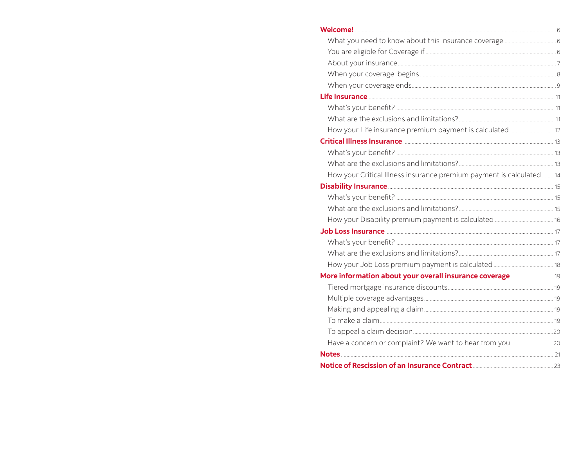| How your Critical Illness insurance premium payment is calculated 14 |  |
|----------------------------------------------------------------------|--|
|                                                                      |  |
|                                                                      |  |
|                                                                      |  |
|                                                                      |  |
|                                                                      |  |
|                                                                      |  |
|                                                                      |  |
|                                                                      |  |
|                                                                      |  |
|                                                                      |  |
|                                                                      |  |
|                                                                      |  |
|                                                                      |  |
|                                                                      |  |
|                                                                      |  |
|                                                                      |  |
|                                                                      |  |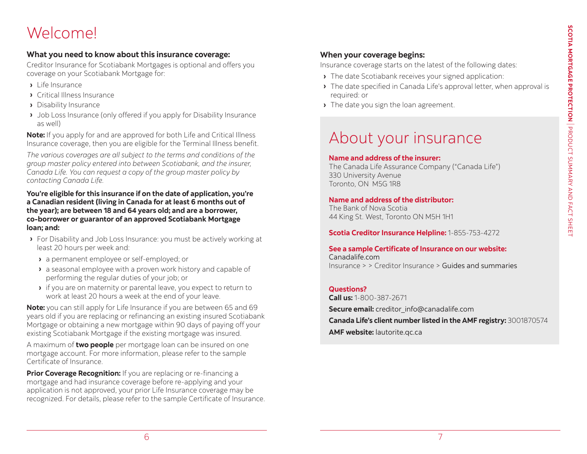# <span id="page-3-0"></span>Welcome!

#### **What you need to know about this insurance coverage:**

Creditor Insurance for Scotiabank Mortgages is optional and offers you coverage on your Scotiabank Mortgage for:

- **›** Life Insurance
- **›** Critical Illness Insurance
- **›** Disability Insurance
- **›** Job Loss Insurance (only offered if you apply for Disability Insurance as well)

**Note:** If you apply for and are approved for both Life and Critical Illness Insurance coverage, then you are eligible for the Terminal Illness benefit.

*The various coverages are all subject to the terms and conditions of the group master policy entered into between Scotiabank, and the insurer, Canada Life. You can request a copy of the group master policy by contacting Canada Life.*

#### **You're eligible for this insurance if on the date of application, you're a Canadian resident (living in Canada for at least 6 months out of the year); are between 18 and 64 years old; and are a borrower, co-borrower or guarantor of an approved Scotiabank Mortgage loan; and:**

- **›** For Disability and Job Loss Insurance: you must be actively working at least 20 hours per week and:
	- **›** a permanent employee or self-employed; or
	- **›** a seasonal employee with a proven work history and capable of performing the regular duties of your job; or
	- **›** if you are on maternity or parental leave, you expect to return to work at least 20 hours a week at the end of your leave.

**Note:** you can still apply for Life Insurance if you are between 65 and 69 years old if you are replacing or refinancing an existing insured Scotiabank Mortgage or obtaining a new mortgage within 90 days of paying off your existing Scotiabank Mortgage if the existing mortgage was insured.

A maximum of **two people** per mortgage loan can be insured on one mortgage account. For more information, please refer to the sample Certificate of Insurance.

**Prior Coverage Recognition:** If you are replacing or re-financing a mortgage and had insurance coverage before re-applying and your application is not approved, your prior Life Insurance coverage may be recognized. For details, please refer to the sample Certificate of Insurance.

#### **When your coverage begins:**

Insurance coverage starts on the latest of the following dates:

- **›** The date Scotiabank receives your signed application:
- **›** The date specified in Canada Life's approval letter, when approval is required: or
- **›** The date you sign the loan agreement.

# About your insurance

#### **Name and address of the insurer:**

The Canada Life Assurance Company ("Canada Life") 330 University Avenue Toronto, ON M5G 1R8

#### **Name and address of the distributor:**

The Bank of Nova Scotia 44 King St. West, Toronto ON M5H 1H1

**Scotia Creditor Insurance Helpline:** 1-855-753-4272

**See a sample Certificate of Insurance on our website:**  Canadalife.com Insurance > > Creditor Insurance > [Guides and summaries](https://www.canadalife.com/insurance/creditor-insurance)

#### **Questions?**

**Call us:** 1-800-387-2671

**Secure email:** creditor\_info@canadalife.com **Canada Life's client number listed in the AMF registry:** 3001870574 **AMF website:** [lautorite.qc.ca](https://lautorite.qc.ca/grand-public)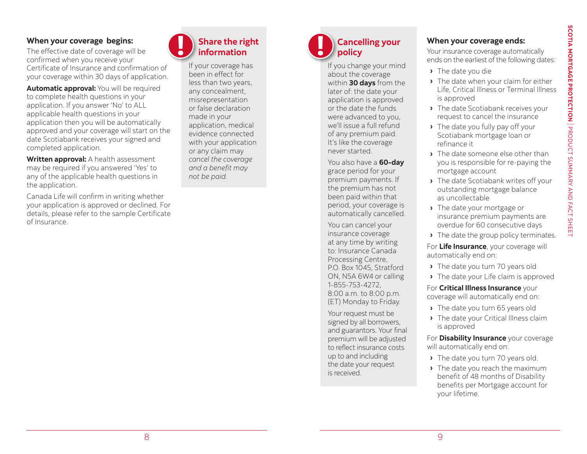#### <span id="page-4-0"></span>**When your coverage begins:**

The effective date of coverage will be confirmed when you receive your Certificate of Insurance and confirmation of your coverage within 30 days of application.

**Automatic approval:** You will be required to complete health questions in your application. If you answer 'No' to ALL applicable health questions in your application then you will be automatically approved and your coverage will start on the date Scotiabank receives your signed and completed application.

**Written approval:** A health assessment may be required if you answered 'Yes' to any of the applicable health questions in the application.

Canada Life will confirm in writing whether your application is approved or declined. For details, please refer to the sample Certificate of Insurance.



If your coverage has been in effect for less than two years, any concealment, misrepresentation or false declaration made in your application, medical evidence connected with your application or any claim may *cancel the coverage and a benefit may not be paid.* 

#### **Cancelling your policy**

If you change your mind about the coverage within **30 days** from the later of: the date your application is approved or the date the funds were advanced to you, we'll issue a full refund of any premium paid. It's like the coverage never started.

You also have a **60-day** grace period for your premium payments. If the premium has not been paid within that period, your coverage is automatically cancelled.

You can cancel your insurance coverage at any time by writing to: Insurance Canada Processing Centre, P.O. Box 1045, Stratford ON, N5A 6W4 or calling 1-855-753-4272, 8:00 a.m. to 8:00 p.m. (ET) Monday to Friday.

Your request must be signed by all borrowers, and guarantors. Your final premium will be adjusted to reflect insurance costs up to and including the date your request is received.

#### **When your coverage ends:**

Your insurance coverage automatically ends on the earliest of the following dates:

- **›** The date you die
- **›** The date when your claim for either Life, Critical Illness or Terminal Illness is approved
- **›** The date Scotiabank receives your request to cancel the insurance
- **›** The date you fully pay off your Scotiabank mortgage loan or refinance it
- **›** The date someone else other than you is responsible for re-paying the mortgage account
- **›** The date Scotiabank writes off your outstanding mortgage balance as uncollectable
- **›** The date your mortgage or insurance premium payments are overdue for 60 consecutive days
- **›** The date the group policy terminates.

For **Life Insurance**, your coverage will automatically end on:

- **›** The date you turn 70 years old
- **›** The date your Life claim is approved

For **Critical Illness Insurance** your coverage will automatically end on:

- **›** The date you turn 65 years old
- **›** The date your Critical Illness claim is approved

For **Disability Insurance** your coverage will automatically end on:

- **›** The date you turn 70 years old.
- **›** The date you reach the maximum benefit of 48 months of Disability benefits per Mortgage account for your lifetime.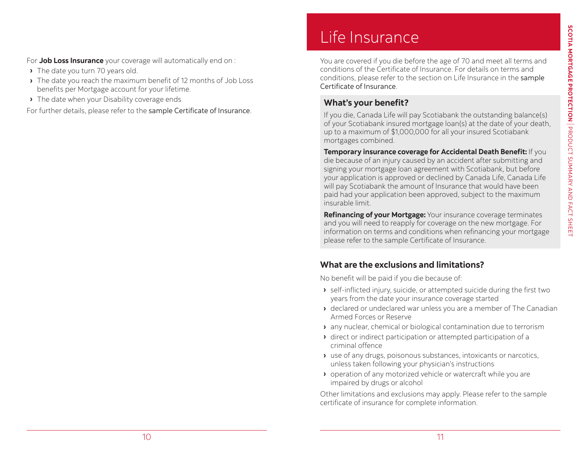<span id="page-5-0"></span>For **Job Loss Insurance** your coverage will automatically end on :

- **›** The date you turn 70 years old.
- **›** The date you reach the maximum benefit of 12 months of Job Loss benefits per Mortgage account for your lifetime.
- **›** The date when your Disability coverage ends

For further details, please refer to the [sample Certificate of Insurance](https://www.canadalife.com/insurance/creditor-insurance.html).

# Life Insurance

You are covered if you die before the age of 70 and meet all terms and conditions of the Certificate of Insurance. For details on terms and conditions, please refer to the section on Life Insurance in the [sample](https://www.canadalife.com/insurance/creditor-insurance/distribution-guide-and-product-summary)  [Certificate of Insurance](https://www.canadalife.com/insurance/creditor-insurance/distribution-guide-and-product-summary).

#### **What's your benefit?**

If you die, Canada Life will pay Scotiabank the outstanding balance(s) of your Scotiabank insured mortgage loan(s) at the date of your death, up to a maximum of \$1,000,000 for all your insured Scotiabank mortgages combined.

**Temporary insurance coverage for Accidental Death Benefit:** If you die because of an injury caused by an accident after submitting and signing your mortgage loan agreement with Scotiabank, but before your application is approved or declined by Canada Life, Canada Life will pay Scotiabank the amount of Insurance that would have been paid had your application been approved, subject to the maximum insurable limit.

**Refinancing of your Mortgage:** Your insurance coverage terminates and you will need to reapply for coverage on the new mortgage. For information on terms and conditions when refinancing your mortgage please refer to the sample Certificate of Insurance.

#### **What are the exclusions and limitations?**

No benefit will be paid if you die because of:

- **›** self-inflicted injury, suicide, or attempted suicide during the first two years from the date your insurance coverage started
- **›** declared or undeclared war unless you are a member of The Canadian Armed Forces or Reserve
- **›** any nuclear, chemical or biological contamination due to terrorism
- **›** direct or indirect participation or attempted participation of a criminal offence
- **›** use of any drugs, poisonous substances, intoxicants or narcotics, unless taken following your physician's instructions
- **›** operation of any motorized vehicle or watercraft while you are impaired by drugs or alcohol

Other limitations and exclusions may apply. Please refer to the sample certificate of insurance for complete information.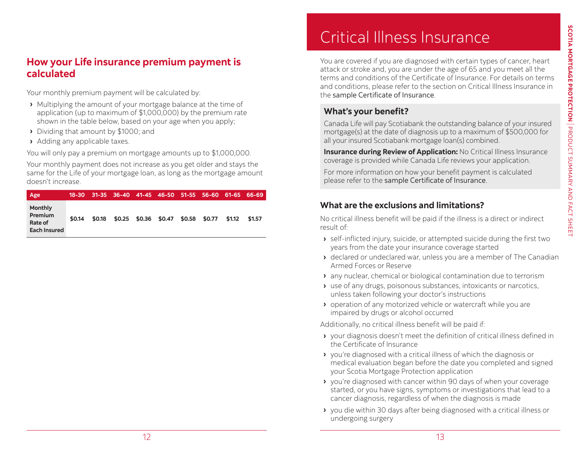#### <span id="page-6-0"></span>**How your Life insurance premium payment is calculated**

Your monthly premium payment will be calculated by:

- **›** Multiplying the amount of your mortgage balance at the time of application (up to maximum of \$1,000,000) by the premium rate shown in the table below, based on your age when you apply;
- **›** Dividing that amount by \$1000; and
- **›** Adding any applicable taxes.

You will only pay a premium on mortgage amounts up to \$1,000,000.

Your monthly payment does not increase as you get older and stays the same for the Life of your mortgage loan, as long as the mortgage amount doesn't increase.

| Age                                                                | 18-30  | 31-35  | $36 - 40$ | 41-45 46-50 51-55 56-60         |        | 61-65 66-69 |        |
|--------------------------------------------------------------------|--------|--------|-----------|---------------------------------|--------|-------------|--------|
| <b>Monthly</b><br><b>Premium</b><br>Rate of<br><b>Each Insured</b> | \$0.14 | \$0.18 |           | $$0.25$ $$0.36$ $$0.47$ $$0.58$ | \$0.77 | \$1.12      | \$1.57 |

# Critical Illness Insurance

You are covered if you are diagnosed with certain types of cancer, heart attack or stroke and, you are under the age of 65 and you meet all the terms and conditions of the Certificate of Insurance. For details on terms and conditions, please refer to the section on Critical Illness Insurance in the [sample Certificate of Insurance](https://www.canadalife.com/insurance/creditor-insurance/distribution-guide-and-product-summary).

#### **What's your benefit?**

Canada Life will pay Scotiabank the outstanding balance of your insured mortgage(s) at the date of diagnosis up to a maximum of \$500,000 for all your insured Scotiabank mortgage loan(s) combined.

**Insurance during Review of Application:** No Critical Illness Insurance coverage is provided while Canada Life reviews your application.

For more information on how your benefit payment is calculated please refer to the [sample Certificate of Insurance](https://www.canadalife.com/insurance/creditor-insurance/distribution-guide-and-product-summary).

#### **What are the exclusions and limitations?**

No critical illness benefit will be paid if the illness is a direct or indirect result of:

- **›** self-inflicted injury, suicide, or attempted suicide during the first two years from the date your insurance coverage started
- **›** declared or undeclared war, unless you are a member of The Canadian Armed Forces or Reserve
- **›** any nuclear, chemical or biological contamination due to terrorism
- **›** use of any drugs, poisonous substances, intoxicants or narcotics, unless taken following your doctor's instructions
- **›** operation of any motorized vehicle or watercraft while you are impaired by drugs or alcohol occurred

Additionally, no critical illness benefit will be paid if:

- **›** your diagnosis doesn't meet the definition of critical illness defined in the Certificate of Insurance
- **›** you're diagnosed with a critical illness of which the diagnosis or medical evaluation began before the date you completed and signed your Scotia Mortgage Protection application
- **›** you're diagnosed with cancer within 90 days of when your coverage started, or you have signs, symptoms or investigations that lead to a cancer diagnosis, regardless of when the diagnosis is made
- **›** you die within 30 days after being diagnosed with a critical illness or undergoing surgery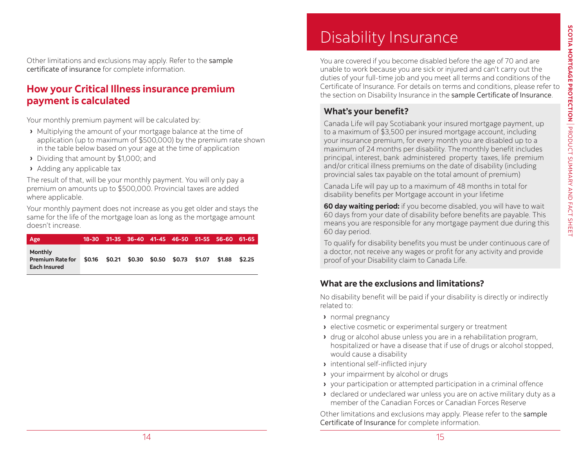<span id="page-7-0"></span>Other limitations and exclusions may apply. Refer to the [sample](https://www.canadalife.com/insurance/creditor-insurance/distribution-guide-and-product-summary)  [certificate of insurance](https://www.canadalife.com/insurance/creditor-insurance/distribution-guide-and-product-summary) for complete information.

#### **How your Critical Illness insurance premium payment is calculated**

Your monthly premium payment will be calculated by:

- **›** Multiplying the amount of your mortgage balance at the time of application (up to maximum of \$500,000) by the premium rate shown in the table below based on your age at the time of application
- **›** Dividing that amount by \$1,000; and
- **›** Adding any applicable tax

The result of that, will be your monthly payment. You will only pay a premium on amounts up to \$500,000. Provincial taxes are added where applicable.

Your monthly payment does not increase as you get older and stays the same for the life of the mortgage loan as long as the mortgage amount doesn't increase.

| Age                                                       |  | 18-30 31-35 36-40 41-45 46-50 51-55 56-60 61-65 |  |        |        |
|-----------------------------------------------------------|--|-------------------------------------------------|--|--------|--------|
| <b>Monthly</b><br><b>Premium Rate for</b><br>Each Insured |  | \$0.16 \$0.21 \$0.30 \$0.50 \$0.73 \$1.07       |  | \$1.88 | \$2.25 |

# Disability Insurance

You are covered if you become disabled before the age of 70 and are unable to work because you are sick or injured and can't carry out the duties of your full-time job and you meet all terms and conditions of the Certificate of Insurance. For details on terms and conditions, please refer to the section on Disability Insurance in the [sample Certificate of Insurance](https://www.canadalife.com/insurance/creditor-insurance/distribution-guide-and-product-summary).

#### **What's your benefit?**

Canada Life will pay Scotiabank your insured mortgage payment, up to a maximum of \$3,500 per insured mortgage account, including your insurance premium, for every month you are disabled up to a maximum of 24 months per disability. The monthly benefit includes principal, interest, bank administered property taxes, life premium and/or critical illness premiums on the date of disability (including provincial sales tax payable on the total amount of premium)

Canada Life will pay up to a maximum of 48 months in total for disability benefits per Mortgage account in your lifetime

**60 day waiting period:** if you become disabled, you will have to wait 60 days from your date of disability before benefits are payable. This means you are responsible for any mortgage payment due during this 60 day period.

To qualify for disability benefits you must be under continuous care of a doctor, not receive any wages or profit for any activity and provide proof of your Disability claim to Canada Life.

#### **What are the exclusions and limitations?**

No disability benefit will be paid if your disability is directly or indirectly related to:

- **›** normal pregnancy
- **›** elective cosmetic or experimental surgery or treatment
- **›** drug or alcohol abuse unless you are in a rehabilitation program, hospitalized or have a disease that if use of drugs or alcohol stopped, would cause a disability
- **›** intentional self-inflicted injury
- **›** your impairment by alcohol or drugs
- **›** your participation or attempted participation in a criminal offence
- **›** declared or undeclared war unless you are on active military duty as a member of the Canadian Forces or Canadian Forces Reserve

Other limitations and exclusions may apply. Please refer to the [sample](https://www.canadalife.com/insurance/creditor-insurance/distribution-guide-and-product-summary)  [Certificate of Insurance](https://www.canadalife.com/insurance/creditor-insurance/distribution-guide-and-product-summary) for complete information.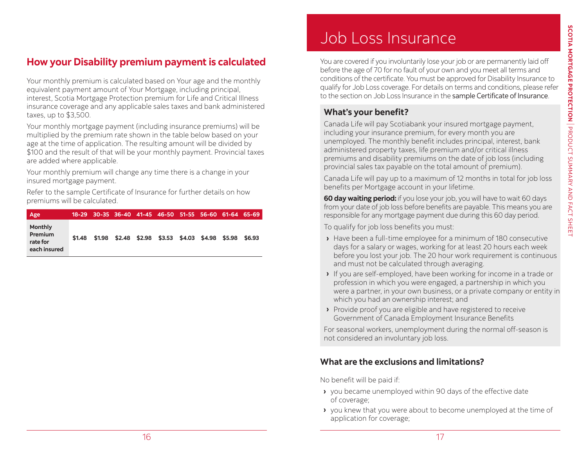#### <span id="page-8-0"></span>**How your Disability premium payment is calculated**

Your monthly premium is calculated based on Your age and the monthly equivalent payment amount of Your Mortgage, including principal, interest, Scotia Mortgage Protection premium for Life and Critical Illness insurance coverage and any applicable sales taxes and bank administered taxes, up to \$3,500.

Your monthly mortgage payment (including insurance premiums) will be multiplied by the premium rate shown in the table below based on your age at the time of application. The resulting amount will be divided by \$100 and the result of that will be your monthly payment. Provincial taxes are added where applicable.

Your monthly premium will change any time there is a change in your insured mortgage payment.

Refer to the [sample Certificate of Insurance](https://www.canadalife.com/insurance/creditor-insurance/distribution-guide-and-product-summary) for further details on how premiums will be calculated.

| Age                                                          | 18-29  | 30-35 36-40 41-45 46-50 51-55 56-60 61-64 65-69         |  |  |  |
|--------------------------------------------------------------|--------|---------------------------------------------------------|--|--|--|
| <b>Monthly</b><br><b>Premium</b><br>rate for<br>each insured | \$1.48 | \$1.98 \$2.48 \$2.98 \$3.53 \$4.03 \$4.98 \$5.98 \$6.93 |  |  |  |

# Job Loss Insurance

You are covered if you involuntarily lose your job or are permanently laid off before the age of 70 for no fault of your own and you meet all terms and conditions of the certificate. You must be approved for Disability Insurance to qualify for Job Loss coverage. For details on terms and conditions, please refer to the section on Job Loss Insurance in the [sample Certificate of Insurance](https://www.canadalife.com/insurance/creditor-insurance/distribution-guide-and-product-summary).

#### **What's your benefit?**

Canada Life will pay Scotiabank your insured mortgage payment, including your insurance premium, for every month you are unemployed. The monthly benefit includes principal, interest, bank administered property taxes, life premium and/or critical illness premiums and disability premiums on the date of job loss (including provincial sales tax payable on the total amount of premium).

Canada Life will pay up to a maximum of 12 months in total for job loss benefits per Mortgage account in your lifetime.

**60 day waiting period:** if you lose your job, you will have to wait 60 days from your date of job loss before benefits are payable. This means you are responsible for any mortgage payment due during this 60 day period.

To qualify for job loss benefits you must:

- **›** Have been a full-time employee for a minimum of 180 consecutive days for a salary or wages, working for at least 20 hours each week before you lost your job. The 20 hour work requirement is continuous and must not be calculated through averaging.
- **›** If you are self-employed, have been working for income in a trade or profession in which you were engaged, a partnership in which you were a partner, in your own business, or a private company or entity in which you had an ownership interest; and
- **›** Provide proof you are eligible and have registered to receive Government of Canada Employment Insurance Benefits

For seasonal workers, unemployment during the normal off-season is not considered an involuntary job loss.

#### **What are the exclusions and limitations?**

No benefit will be paid if:

- **›** you became unemployed within 90 days of the effective date of coverage;
- **›** you knew that you were about to become unemployed at the time of application for coverage;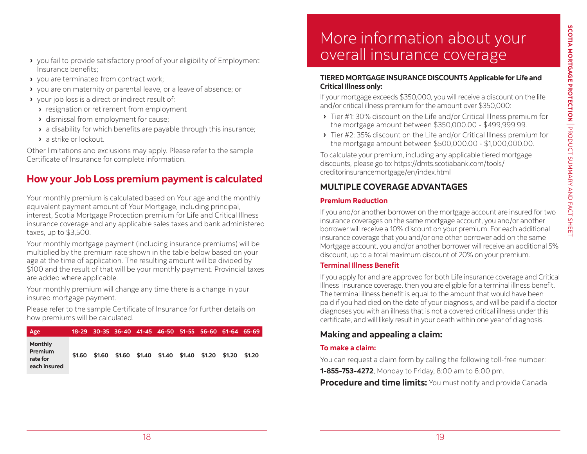- <span id="page-9-0"></span>**›** you fail to provide satisfactory proof of your eligibility of Employment Insurance benefits;
- **›** you are terminated from contract work;
- **›** you are on maternity or parental leave, or a leave of absence; or
- **›** your job loss is a direct or indirect result of:
	- **›** resignation or retirement from employment
	- **›** dismissal from employment for cause;
	- **›** a disability for which benefits are payable through this insurance;
	- **›** a strike or lockout.

Other limitations and exclusions may apply. Please refer to the sample Certificate of Insurance for complete information.

#### **How your Job Loss premium payment is calculated**

Your monthly premium is calculated based on Your age and the monthly equivalent payment amount of Your Mortgage, including principal, interest, Scotia Mortgage Protection premium for Life and Critical Illness insurance coverage and any applicable sales taxes and bank administered taxes, up to \$3,500.

Your monthly mortgage payment (including insurance premiums) will be multiplied by the premium rate shown in the table below based on your age at the time of application. The resulting amount will be divided by \$100 and the result of that will be your monthly payment. Provincial taxes are added where applicable.

Your monthly premium will change any time there is a change in your insured mortgage payment.

Please refer to the sample Certificate of Insurance for further details on how premiums will be calculated.

| Age                                                          |        |        | 18-29 30-35 36-40 41-45 46-50 51-55 56-60 61-64 65-69 |  |  |        |
|--------------------------------------------------------------|--------|--------|-------------------------------------------------------|--|--|--------|
| <b>Monthly</b><br><b>Premium</b><br>rate for<br>each insured | \$1.60 | \$1.60 | \$1.60 \$1.40 \$1.40 \$1.40 \$1.20 \$1.20             |  |  | \$1.20 |

## More information about your overall insurance coverage

#### **TIERED MORTGAGE INSURANCE DISCOUNTS Applicable for Life and Critical Illness only:**

If your mortgage exceeds \$350,000, you will receive a discount on the life and/or critical illness premium for the amount over \$350,000:

- **›** Tier #1: 30% discount on the Life and/or Critical Illness premium for the mortgage amount between \$350,000.00 - \$499,999.99.
- **›** Tier #2: 35% discount on the Life and/or Critical Illness premium for the mortgage amount between \$500,000.00 - \$1,000,000.00.

To calculate your premium, including any applicable tiered mortgage discounts, please go to: https://dmts.scotiabank.com/tools/ creditorinsurancemortgage/en/index.html

#### **MULTIPLE COVERAGE ADVANTAGES**

#### **Premium Reduction**

If you and/or another borrower on the mortgage account are insured for two insurance coverages on the same mortgage account, you and/or another borrower will receive a 10% discount on your premium. For each additional insurance coverage that you and/or one other borrower add on the same Mortgage account, you and/or another borrower will receive an additional 5% discount, up to a total maximum discount of 20% on your premium.

#### **Terminal Illness Benefit**

If you apply for and are approved for both Life insurance coverage and Critical Illness insurance coverage, then you are eligible for a terminal illness benefit. The terminal illness benefit is equal to the amount that would have been paid if you had died on the date of your diagnosis, and will be paid if a doctor diagnoses you with an illness that is not a covered critical illness under this certificate, and will likely result in your death within one year of diagnosis.

#### **Making and appealing a claim:**

#### **To make a claim:**

You can request a claim form by calling the following toll-free number:

**1-855-753-4272**, Monday to Friday, 8:00 am to 6:00 pm.

**Procedure and time limits:** You must notify and provide Canada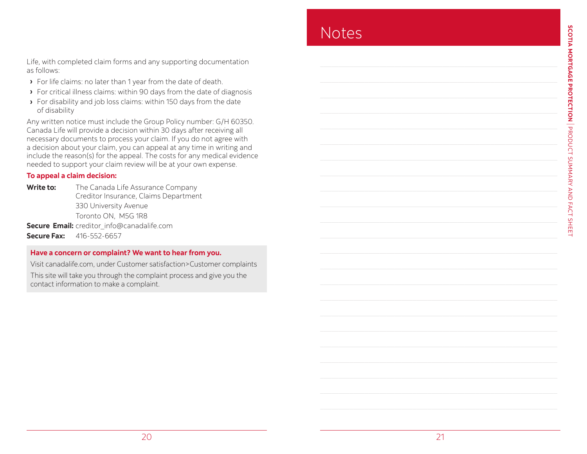<span id="page-10-0"></span>Life, with completed claim forms and any supporting documentation as follows:

- **›** For life claims: no later than 1 year from the date of death.
- **›** For critical illness claims: within 90 days from the date of diagnosis
- **›** For disability and job loss claims: within 150 days from the date of disability

Any written notice must include the Group Policy number: G/H 60350. Canada Life will provide a decision within 30 days after receiving all necessary documents to process your claim. If you do not agree with a decision about your claim, you can appeal at any time in writing and include the reason(s) for the appeal. The costs for any medical evidence needed to support your claim review will be at your own expense.

#### **To appeal a claim decision:**

**Write to:** The Canada Life Assurance Company Creditor Insurance, Claims Department 330 University Avenue Toronto ON, M5G 1R8 **Secure Email:** creditor\_info@canadalife.com **Secure Fax:** 416-552-6657

#### **Have a concern or complaint? We want to hear from you.**

Visit [canadalife.com,](http://canadalife.com) under Customer satisfaction>Customer complaints This site will take you through the complaint process and give you the contact information to make a complaint.

### **Notes**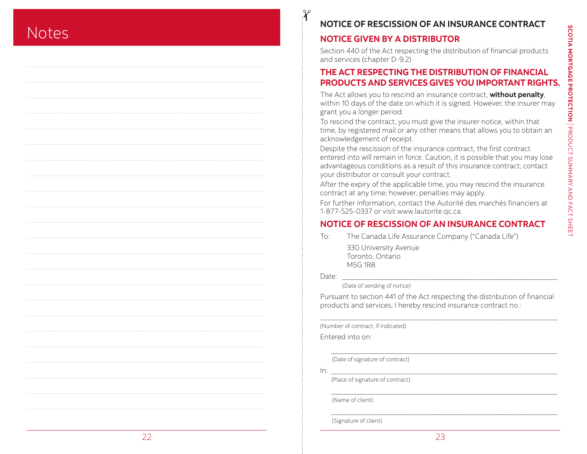### <span id="page-11-0"></span>**Notes**

#### **NOTICE OF RESCISSION OF AN INSURANCE CONTRACT**

#### **NOTICE GIVEN BY A DISTRIBUTOR**

Section 440 of the Act respecting the distribution of financial products and services (chapter D-9.2)

#### **THE ACT RESPECTING THE DISTRIBUTION OF FINANCIAL PRODUCTS AND SERVICES GIVES YOU IMPORTANT RIGHTS.**

The Act allows you to rescind an insurance contract, **without penalty**, within 10 days of the date on which it is signed. However, the insurer may grant you a longer period.

To rescind the contract, you must give the insurer notice, within that time, by registered mail or any other means that allows you to obtain an acknowledgement of receipt.

Despite the rescission of the insurance contract, the first contract entered into will remain in force. Caution, it is possible that you may lose advantageous conditions as a result of this insurance contract; contact your distributor or consult your contract.

After the expiry of the applicable time, you may rescind the insurance contract at any time; however, penalties may apply.

For further information, contact the Autorité des marchés financiers at 1-877-525-0337 or visit www.lautorite.qc.ca.

#### **NOTICE OF RESCISSION OF AN INSURANCE CONTRACT**

To: The Canada Life Assurance Company ("Canada Life")

330 University Avenue Toronto, Ontario M5G 1R8

Date: \_\_\_\_\_\_\_\_\_\_\_\_\_\_\_\_\_\_\_\_\_\_\_\_\_\_\_\_\_\_\_\_\_\_\_\_\_\_\_\_\_\_\_\_\_\_\_\_\_\_\_\_\_\_\_\_\_\_

(Date of sending of notice)

Pursuant to section 441 of the Act respecting the distribution of financial products and services, I hereby rescind insurance contract no.:

\_\_\_\_\_\_\_\_\_\_\_\_\_\_\_\_\_\_\_\_\_\_\_\_\_\_\_\_\_\_\_\_\_\_\_\_\_\_\_\_\_\_\_\_\_\_\_\_\_\_\_\_\_\_\_\_\_\_\_\_\_\_\_\_

\_\_\_\_\_\_\_\_\_\_\_\_\_\_\_\_\_\_\_\_\_\_\_\_\_\_\_\_\_\_\_\_\_\_\_\_\_\_\_\_\_\_\_\_\_\_\_\_\_\_\_\_\_\_\_\_\_\_\_\_\_

\_\_\_\_\_\_\_\_\_\_\_\_\_\_\_\_\_\_\_\_\_\_\_\_\_\_\_\_\_\_\_\_\_\_\_\_\_\_\_\_\_\_\_\_\_\_\_\_\_\_\_\_\_\_\_\_\_\_\_\_\_

\_\_\_\_\_\_\_\_\_\_\_\_\_\_\_\_\_\_\_\_\_\_\_\_\_\_\_\_\_\_\_\_\_\_\_\_\_\_\_\_\_\_\_\_\_\_\_\_\_\_\_\_\_\_\_\_\_\_\_\_\_

(Number of contract, if indicated)

Entered into on:

(Date of signature of contract)

In: \_\_\_\_\_\_\_\_\_\_\_\_\_\_\_\_\_\_\_\_\_\_\_\_\_\_\_\_\_\_\_\_\_\_\_\_\_\_\_\_\_\_\_\_\_\_\_\_\_\_\_\_\_\_\_\_\_\_\_\_\_

(Place of signature of contract)

(Name of client)

(Signature of client)